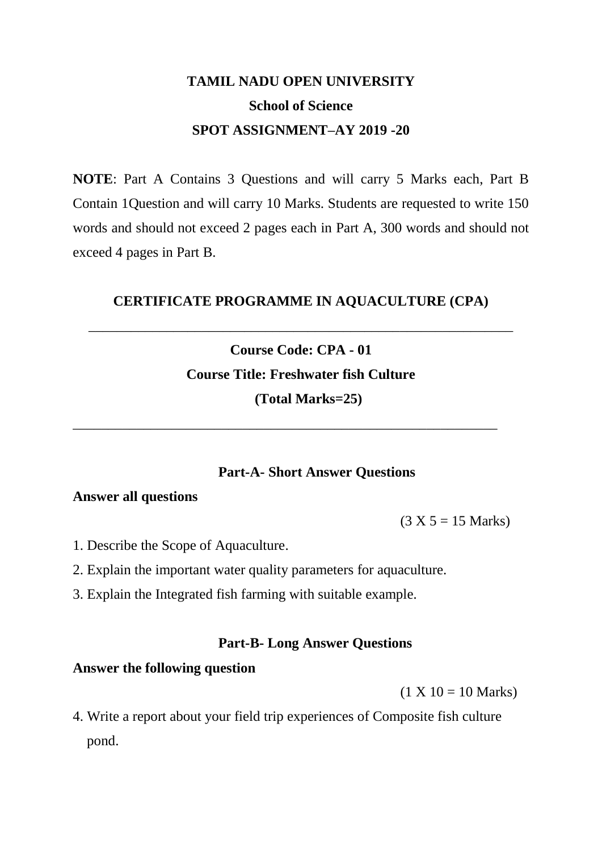# **TAMIL NADU OPEN UNIVERSITY School of Science SPOT ASSIGNMENT–AY 2019 -20**

**NOTE**: Part A Contains 3 Questions and will carry 5 Marks each, Part B Contain 1Question and will carry 10 Marks. Students are requested to write 150 words and should not exceed 2 pages each in Part A, 300 words and should not exceed 4 pages in Part B.

### **CERTIFICATE PROGRAMME IN AQUACULTURE (CPA)**

\_\_\_\_\_\_\_\_\_\_\_\_\_\_\_\_\_\_\_\_\_\_\_\_\_\_\_\_\_\_\_\_\_\_\_\_\_\_\_\_\_\_\_\_\_\_\_\_\_\_\_\_\_\_\_\_\_\_\_\_

# **Course Code: CPA - 01 Course Title: Freshwater fish Culture (Total Marks=25)**

\_\_\_\_\_\_\_\_\_\_\_\_\_\_\_\_\_\_\_\_\_\_\_\_\_\_\_\_\_\_\_\_\_\_\_\_\_\_\_\_\_\_\_\_\_\_\_\_\_\_\_\_\_\_\_\_\_\_\_\_

### **Part-A- Short Answer Questions**

### **Answer all questions**

 $(3 X 5 = 15 Marks)$ 

- 1. Describe the Scope of Aquaculture.
- 2. Explain the important water quality parameters for aquaculture.
- 3. Explain the Integrated fish farming with suitable example*.*

### **Part-B- Long Answer Questions**

#### **Answer the following question**

 $(1 X 10 = 10 Marks)$ 

4. Write a report about your field trip experiences of Composite fish culture pond.